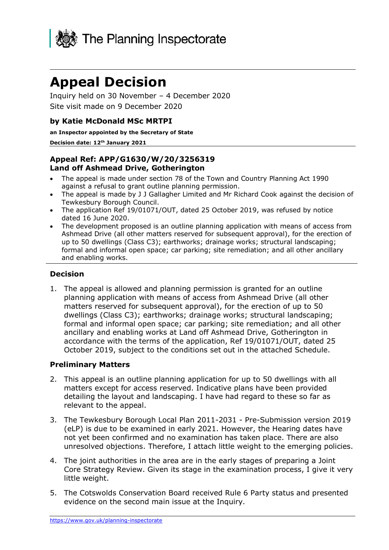

# **Appeal Decision**

Inquiry held on 30 November – 4 December 2020 Site visit made on 9 December 2020

#### **by Katie McDonald MSc MRTPI**

**an Inspector appointed by the Secretary of State** 

#### **Decision date: 12th January 2021**

#### **Appeal Ref: APP/G1630/W/20/3256319 Land off Ashmead Drive, Gotherington**

- The appeal is made under section 78 of the Town and Country Planning Act 1990 against a refusal to grant outline planning permission.
- The appeal is made by J J Gallagher Limited and Mr Richard Cook against the decision of Tewkesbury Borough Council.
- The application Ref 19/01071/OUT, dated 25 October 2019, was refused by notice dated 16 June 2020.
- The development proposed is an outline planning application with means of access from Ashmead Drive (all other matters reserved for subsequent approval), for the erection of up to 50 dwellings (Class C3); earthworks; drainage works; structural landscaping; formal and informal open space; car parking; site remediation; and all other ancillary and enabling works.

#### **Decision**

1. The appeal is allowed and planning permission is granted for an outline planning application with means of access from Ashmead Drive (all other matters reserved for subsequent approval), for the erection of up to 50 dwellings (Class C3); earthworks; drainage works; structural landscaping; formal and informal open space; car parking; site remediation; and all other ancillary and enabling works at Land off Ashmead Drive, Gotherington in accordance with the terms of the application, Ref 19/01071/OUT, dated 25 October 2019, subject to the conditions set out in the attached Schedule.

#### **Preliminary Matters**

- 2. This appeal is an outline planning application for up to 50 dwellings with all matters except for access reserved. Indicative plans have been provided detailing the layout and landscaping. I have had regard to these so far as relevant to the appeal.
- 3. The Tewkesbury Borough Local Plan 2011-2031 Pre-Submission version 2019 (eLP) is due to be examined in early 2021. However, the Hearing dates have not yet been confirmed and no examination has taken place. There are also unresolved objections. Therefore, I attach little weight to the emerging policies.
- 4. The joint authorities in the area are in the early stages of preparing a Joint Core Strategy Review. Given its stage in the examination process, I give it very little weight.
- 5. The Cotswolds Conservation Board received Rule 6 Party status and presented evidence on the second main issue at the Inquiry.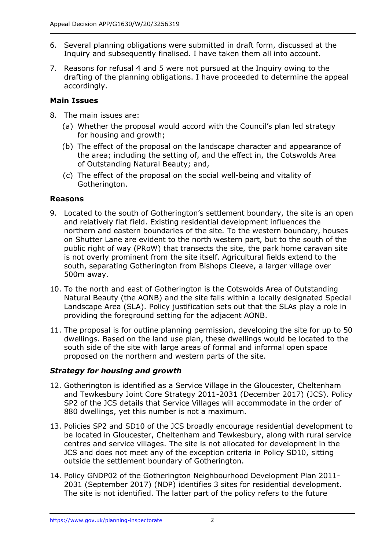- 6. Several planning obligations were submitted in draft form, discussed at the Inquiry and subsequently finalised. I have taken them all into account.
- 7. Reasons for refusal 4 and 5 were not pursued at the Inquiry owing to the drafting of the planning obligations. I have proceeded to determine the appeal accordingly.

## **Main Issues**

- 8. The main issues are:
	- (a) Whether the proposal would accord with the Council's plan led strategy for housing and growth;
	- (b) The effect of the proposal on the landscape character and appearance of the area; including the setting of, and the effect in, the Cotswolds Area of Outstanding Natural Beauty; and,
	- (c) The effect of the proposal on the social well-being and vitality of Gotherington.

## **Reasons**

- 9. Located to the south of Gotherington's settlement boundary, the site is an open and relatively flat field. Existing residential development influences the northern and eastern boundaries of the site. To the western boundary, houses on Shutter Lane are evident to the north western part, but to the south of the public right of way (PRoW) that transects the site, the park home caravan site is not overly prominent from the site itself. Agricultural fields extend to the south, separating Gotherington from Bishops Cleeve, a larger village over 500m away.
- 10. To the north and east of Gotherington is the Cotswolds Area of Outstanding Natural Beauty (the AONB) and the site falls within a locally designated Special Landscape Area (SLA). Policy justification sets out that the SLAs play a role in providing the foreground setting for the adjacent AONB.
- 11. The proposal is for outline planning permission, developing the site for up to 50 dwellings. Based on the land use plan, these dwellings would be located to the south side of the site with large areas of formal and informal open space proposed on the northern and western parts of the site.

## *Strategy for housing and growth*

- 12. Gotherington is identified as a Service Village in the Gloucester, Cheltenham and Tewkesbury Joint Core Strategy 2011-2031 (December 2017) (JCS). Policy SP2 of the JCS details that Service Villages will accommodate in the order of 880 dwellings, yet this number is not a maximum.
- 13. Policies SP2 and SD10 of the JCS broadly encourage residential development to be located in Gloucester, Cheltenham and Tewkesbury, along with rural service centres and service villages. The site is not allocated for development in the JCS and does not meet any of the exception criteria in Policy SD10, sitting outside the settlement boundary of Gotherington.
- 14. Policy GNDP02 of the Gotherington Neighbourhood Development Plan 2011- 2031 (September 2017) (NDP) identifies 3 sites for residential development. The site is not identified. The latter part of the policy refers to the future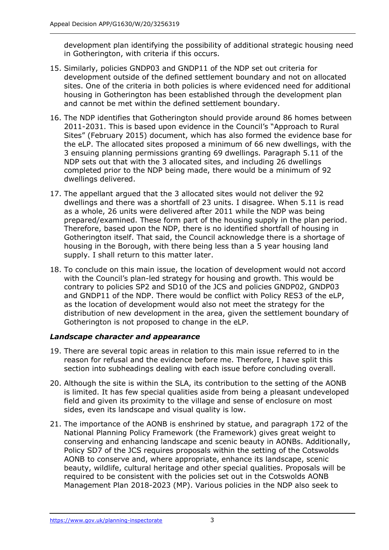development plan identifying the possibility of additional strategic housing need in Gotherington, with criteria if this occurs.

- 15. Similarly, policies GNDP03 and GNDP11 of the NDP set out criteria for development outside of the defined settlement boundary and not on allocated sites. One of the criteria in both policies is where evidenced need for additional housing in Gotherington has been established through the development plan and cannot be met within the defined settlement boundary.
- 16. The NDP identifies that Gotherington should provide around 86 homes between 2011-2031. This is based upon evidence in the Council's "Approach to Rural Sites" (February 2015) document, which has also formed the evidence base for the eLP. The allocated sites proposed a minimum of 66 new dwellings, with the 3 ensuing planning permissions granting 69 dwellings. Paragraph 5.11 of the NDP sets out that with the 3 allocated sites, and including 26 dwellings completed prior to the NDP being made, there would be a minimum of 92 dwellings delivered.
- 17. The appellant argued that the 3 allocated sites would not deliver the 92 dwellings and there was a shortfall of 23 units. I disagree. When 5.11 is read as a whole, 26 units were delivered after 2011 while the NDP was being prepared/examined. These form part of the housing supply in the plan period. Therefore, based upon the NDP, there is no identified shortfall of housing in Gotherington itself. That said, the Council acknowledge there is a shortage of housing in the Borough, with there being less than a 5 year housing land supply. I shall return to this matter later.
- 18. To conclude on this main issue, the location of development would not accord with the Council's plan-led strategy for housing and growth. This would be contrary to policies SP2 and SD10 of the JCS and policies GNDP02, GNDP03 and GNDP11 of the NDP. There would be conflict with Policy RES3 of the eLP, as the location of development would also not meet the strategy for the distribution of new development in the area, given the settlement boundary of Gotherington is not proposed to change in the eLP.

## *Landscape character and appearance*

- 19. There are several topic areas in relation to this main issue referred to in the reason for refusal and the evidence before me. Therefore, I have split this section into subheadings dealing with each issue before concluding overall.
- 20. Although the site is within the SLA, its contribution to the setting of the AONB is limited. It has few special qualities aside from being a pleasant undeveloped field and given its proximity to the village and sense of enclosure on most sides, even its landscape and visual quality is low.
- 21. The importance of the AONB is enshrined by statue, and paragraph 172 of the National Planning Policy Framework (the Framework) gives great weight to conserving and enhancing landscape and scenic beauty in AONBs. Additionally, Policy SD7 of the JCS requires proposals within the setting of the Cotswolds AONB to conserve and, where appropriate, enhance its landscape, scenic beauty, wildlife, cultural heritage and other special qualities. Proposals will be required to be consistent with the policies set out in the Cotswolds AONB Management Plan 2018-2023 (MP). Various policies in the NDP also seek to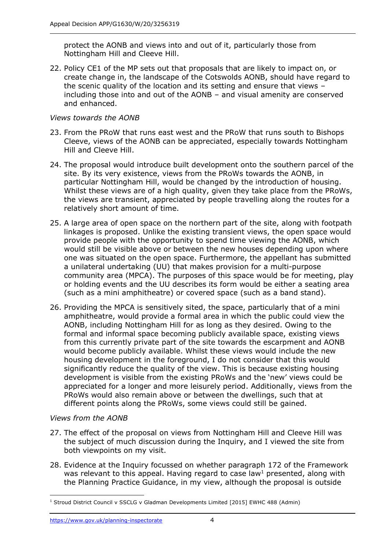protect the AONB and views into and out of it, particularly those from Nottingham Hill and Cleeve Hill.

22. Policy CE1 of the MP sets out that proposals that are likely to impact on, or create change in, the landscape of the Cotswolds AONB, should have regard to the scenic quality of the location and its setting and ensure that views – including those into and out of the AONB – and visual amenity are conserved and enhanced.

#### *Views towards the AONB*

- 23. From the PRoW that runs east west and the PRoW that runs south to Bishops Cleeve, views of the AONB can be appreciated, especially towards Nottingham Hill and Cleeve Hill.
- 24. The proposal would introduce built development onto the southern parcel of the site. By its very existence, views from the PRoWs towards the AONB, in particular Nottingham Hill, would be changed by the introduction of housing. Whilst these views are of a high quality, given they take place from the PRoWs, the views are transient, appreciated by people travelling along the routes for a relatively short amount of time.
- 25. A large area of open space on the northern part of the site, along with footpath linkages is proposed. Unlike the existing transient views, the open space would provide people with the opportunity to spend time viewing the AONB, which would still be visible above or between the new houses depending upon where one was situated on the open space. Furthermore, the appellant has submitted a unilateral undertaking (UU) that makes provision for a multi-purpose community area (MPCA). The purposes of this space would be for meeting, play or holding events and the UU describes its form would be either a seating area (such as a mini amphitheatre) or covered space (such as a band stand).
- 26. Providing the MPCA is sensitively sited, the space, particularly that of a mini amphitheatre, would provide a formal area in which the public could view the AONB, including Nottingham Hill for as long as they desired. Owing to the formal and informal space becoming publicly available space, existing views from this currently private part of the site towards the escarpment and AONB would become publicly available. Whilst these views would include the new housing development in the foreground, I do not consider that this would significantly reduce the quality of the view. This is because existing housing development is visible from the existing PRoWs and the 'new' views could be appreciated for a longer and more leisurely period. Additionally, views from the PRoWs would also remain above or between the dwellings, such that at different points along the PRoWs, some views could still be gained.

#### *Views from the AONB*

- 27. The effect of the proposal on views from Nottingham Hill and Cleeve Hill was the subject of much discussion during the Inquiry, and I viewed the site from both viewpoints on my visit.
- 28. Evidence at the Inquiry focussed on whether paragraph 172 of the Framework was relevant to this appeal. Having regard to case law<sup>1</sup> presented, along with the Planning Practice Guidance, in my view, although the proposal is outside

<sup>&</sup>lt;sup>1</sup> Stroud District Council v SSCLG v Gladman Developments Limited [2015] EWHC 488 (Admin)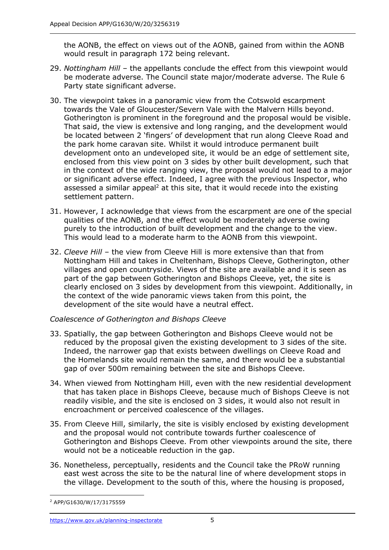the AONB, the effect on views out of the AONB, gained from within the AONB would result in paragraph 172 being relevant.

- 29. *Nottingham Hill* the appellants conclude the effect from this viewpoint would be moderate adverse. The Council state major/moderate adverse. The Rule 6 Party state significant adverse.
- 30. The viewpoint takes in a panoramic view from the Cotswold escarpment towards the Vale of Gloucester/Severn Vale with the Malvern Hills beyond. Gotherington is prominent in the foreground and the proposal would be visible. That said, the view is extensive and long ranging, and the development would be located between 2 'fingers' of development that run along Cleeve Road and the park home caravan site. Whilst it would introduce permanent built development onto an undeveloped site, it would be an edge of settlement site, enclosed from this view point on 3 sides by other built development, such that in the context of the wide ranging view, the proposal would not lead to a major or significant adverse effect. Indeed, I agree with the previous Inspector, who assessed a similar appeal<sup>2</sup> at this site, that it would recede into the existing settlement pattern.
- 31. However, I acknowledge that views from the escarpment are one of the special qualities of the AONB, and the effect would be moderately adverse owing purely to the introduction of built development and the change to the view. This would lead to a moderate harm to the AONB from this viewpoint.
- 32. *Cleeve Hill* the view from Cleeve Hill is more extensive than that from Nottingham Hill and takes in Cheltenham, Bishops Cleeve, Gotherington, other villages and open countryside. Views of the site are available and it is seen as part of the gap between Gotherington and Bishops Cleeve, yet, the site is clearly enclosed on 3 sides by development from this viewpoint. Additionally, in the context of the wide panoramic views taken from this point, the development of the site would have a neutral effect.

## *Coalescence of Gotherington and Bishops Cleeve*

- 33. Spatially, the gap between Gotherington and Bishops Cleeve would not be reduced by the proposal given the existing development to 3 sides of the site. Indeed, the narrower gap that exists between dwellings on Cleeve Road and the Homelands site would remain the same, and there would be a substantial gap of over 500m remaining between the site and Bishops Cleeve.
- 34. When viewed from Nottingham Hill, even with the new residential development that has taken place in Bishops Cleeve, because much of Bishops Cleeve is not readily visible, and the site is enclosed on 3 sides, it would also not result in encroachment or perceived coalescence of the villages.
- 35. From Cleeve Hill, similarly, the site is visibly enclosed by existing development and the proposal would not contribute towards further coalescence of Gotherington and Bishops Cleeve. From other viewpoints around the site, there would not be a noticeable reduction in the gap.
- 36. Nonetheless, perceptually, residents and the Council take the PRoW running east west across the site to be the natural line of where development stops in the village. Development to the south of this, where the housing is proposed,

<sup>2</sup> APP/G1630/W/17/3175559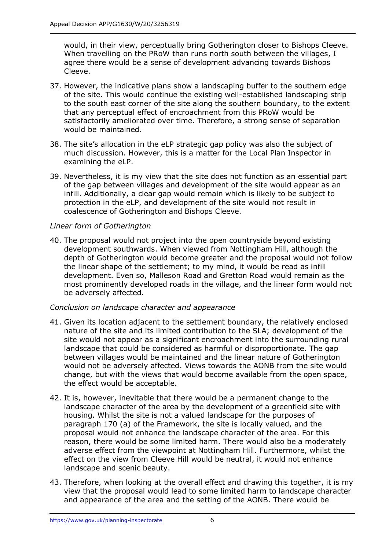would, in their view, perceptually bring Gotherington closer to Bishops Cleeve. When travelling on the PRoW than runs north south between the villages, I agree there would be a sense of development advancing towards Bishops Cleeve.

- 37. However, the indicative plans show a landscaping buffer to the southern edge of the site. This would continue the existing well-established landscaping strip to the south east corner of the site along the southern boundary, to the extent that any perceptual effect of encroachment from this PRoW would be satisfactorily ameliorated over time. Therefore, a strong sense of separation would be maintained.
- 38. The site's allocation in the eLP strategic gap policy was also the subject of much discussion. However, this is a matter for the Local Plan Inspector in examining the eLP.
- 39. Nevertheless, it is my view that the site does not function as an essential part of the gap between villages and development of the site would appear as an infill. Additionally, a clear gap would remain which is likely to be subject to protection in the eLP, and development of the site would not result in coalescence of Gotherington and Bishops Cleeve.

#### *Linear form of Gotherington*

40. The proposal would not project into the open countryside beyond existing development southwards. When viewed from Nottingham Hill, although the depth of Gotherington would become greater and the proposal would not follow the linear shape of the settlement; to my mind, it would be read as infill development. Even so, Malleson Road and Gretton Road would remain as the most prominently developed roads in the village, and the linear form would not be adversely affected.

#### *Conclusion on landscape character and appearance*

- 41. Given its location adjacent to the settlement boundary, the relatively enclosed nature of the site and its limited contribution to the SLA; development of the site would not appear as a significant encroachment into the surrounding rural landscape that could be considered as harmful or disproportionate. The gap between villages would be maintained and the linear nature of Gotherington would not be adversely affected. Views towards the AONB from the site would change, but with the views that would become available from the open space, the effect would be acceptable.
- 42. It is, however, inevitable that there would be a permanent change to the landscape character of the area by the development of a greenfield site with housing. Whilst the site is not a valued landscape for the purposes of paragraph 170 (a) of the Framework, the site is locally valued, and the proposal would not enhance the landscape character of the area. For this reason, there would be some limited harm. There would also be a moderately adverse effect from the viewpoint at Nottingham Hill. Furthermore, whilst the effect on the view from Cleeve Hill would be neutral, it would not enhance landscape and scenic beauty.
- 43. Therefore, when looking at the overall effect and drawing this together, it is my view that the proposal would lead to some limited harm to landscape character and appearance of the area and the setting of the AONB. There would be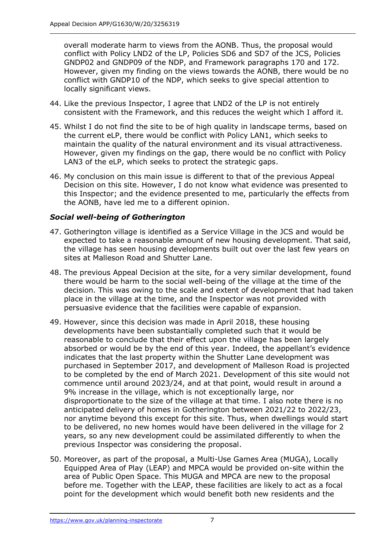overall moderate harm to views from the AONB. Thus, the proposal would conflict with Policy LND2 of the LP, Policies SD6 and SD7 of the JCS, Policies GNDP02 and GNDP09 of the NDP, and Framework paragraphs 170 and 172. However, given my finding on the views towards the AONB, there would be no conflict with GNDP10 of the NDP, which seeks to give special attention to locally significant views.

- 44. Like the previous Inspector, I agree that LND2 of the LP is not entirely consistent with the Framework, and this reduces the weight which I afford it.
- 45. Whilst I do not find the site to be of high quality in landscape terms, based on the current eLP, there would be conflict with Policy LAN1, which seeks to maintain the quality of the natural environment and its visual attractiveness. However, given my findings on the gap, there would be no conflict with Policy LAN3 of the eLP, which seeks to protect the strategic gaps.
- 46. My conclusion on this main issue is different to that of the previous Appeal Decision on this site. However, I do not know what evidence was presented to this Inspector; and the evidence presented to me, particularly the effects from the AONB, have led me to a different opinion.

## *Social well-being of Gotherington*

- 47. Gotherington village is identified as a Service Village in the JCS and would be expected to take a reasonable amount of new housing development. That said, the village has seen housing developments built out over the last few years on sites at Malleson Road and Shutter Lane.
- 48. The previous Appeal Decision at the site, for a very similar development, found there would be harm to the social well-being of the village at the time of the decision. This was owing to the scale and extent of development that had taken place in the village at the time, and the Inspector was not provided with persuasive evidence that the facilities were capable of expansion.
- 49. However, since this decision was made in April 2018, these housing developments have been substantially completed such that it would be reasonable to conclude that their effect upon the village has been largely absorbed or would be by the end of this year. Indeed, the appellant's evidence indicates that the last property within the Shutter Lane development was purchased in September 2017, and development of Malleson Road is projected to be completed by the end of March 2021. Development of this site would not commence until around 2023/24, and at that point, would result in around a 9% increase in the village, which is not exceptionally large, nor disproportionate to the size of the village at that time. I also note there is no anticipated delivery of homes in Gotherington between 2021/22 to 2022/23, nor anytime beyond this except for this site. Thus, when dwellings would start to be delivered, no new homes would have been delivered in the village for 2 years, so any new development could be assimilated differently to when the previous Inspector was considering the proposal.
- 50. Moreover, as part of the proposal, a Multi-Use Games Area (MUGA), Locally Equipped Area of Play (LEAP) and MPCA would be provided on-site within the area of Public Open Space. This MUGA and MPCA are new to the proposal before me. Together with the LEAP, these facilities are likely to act as a focal point for the development which would benefit both new residents and the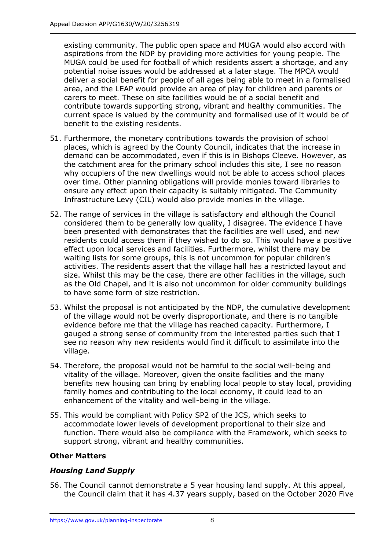existing community. The public open space and MUGA would also accord with aspirations from the NDP by providing more activities for young people. The MUGA could be used for football of which residents assert a shortage, and any potential noise issues would be addressed at a later stage. The MPCA would deliver a social benefit for people of all ages being able to meet in a formalised area, and the LEAP would provide an area of play for children and parents or carers to meet. These on site facilities would be of a social benefit and contribute towards supporting strong, vibrant and healthy communities. The current space is valued by the community and formalised use of it would be of benefit to the existing residents.

- 51. Furthermore, the monetary contributions towards the provision of school places, which is agreed by the County Council, indicates that the increase in demand can be accommodated, even if this is in Bishops Cleeve. However, as the catchment area for the primary school includes this site, I see no reason why occupiers of the new dwellings would not be able to access school places over time. Other planning obligations will provide monies toward libraries to ensure any effect upon their capacity is suitably mitigated. The Community Infrastructure Levy (CIL) would also provide monies in the village.
- 52. The range of services in the village is satisfactory and although the Council considered them to be generally low quality, I disagree. The evidence I have been presented with demonstrates that the facilities are well used, and new residents could access them if they wished to do so. This would have a positive effect upon local services and facilities. Furthermore, whilst there may be waiting lists for some groups, this is not uncommon for popular children's activities. The residents assert that the village hall has a restricted layout and size. Whilst this may be the case, there are other facilities in the village, such as the Old Chapel, and it is also not uncommon for older community buildings to have some form of size restriction.
- 53. Whilst the proposal is not anticipated by the NDP, the cumulative development of the village would not be overly disproportionate, and there is no tangible evidence before me that the village has reached capacity. Furthermore, I gauged a strong sense of community from the interested parties such that I see no reason why new residents would find it difficult to assimilate into the village.
- 54. Therefore, the proposal would not be harmful to the social well-being and vitality of the village. Moreover, given the onsite facilities and the many benefits new housing can bring by enabling local people to stay local, providing family homes and contributing to the local economy, it could lead to an enhancement of the vitality and well-being in the village.
- 55. This would be compliant with Policy SP2 of the JCS, which seeks to accommodate lower levels of development proportional to their size and function. There would also be compliance with the Framework, which seeks to support strong, vibrant and healthy communities.

## **Other Matters**

## *Housing Land Supply*

56. The Council cannot demonstrate a 5 year housing land supply. At this appeal, the Council claim that it has 4.37 years supply, based on the October 2020 Five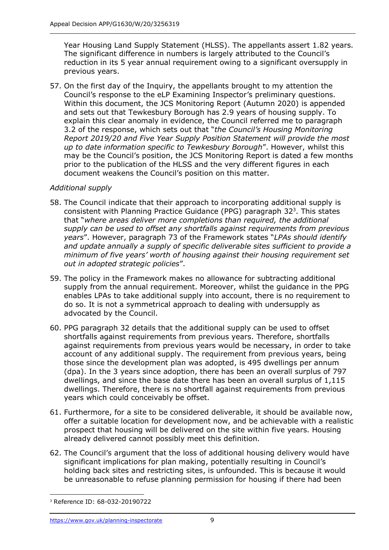Year Housing Land Supply Statement (HLSS). The appellants assert 1.82 years. The significant difference in numbers is largely attributed to the Council's reduction in its 5 year annual requirement owing to a significant oversupply in previous years.

57. On the first day of the Inquiry, the appellants brought to my attention the Council's response to the eLP Examining Inspector's preliminary questions. Within this document, the JCS Monitoring Report (Autumn 2020) is appended and sets out that Tewkesbury Borough has 2.9 years of housing supply. To explain this clear anomaly in evidence, the Council referred me to paragraph 3.2 of the response, which sets out that "*the Council's Housing Monitoring Report 2019/20 and Five Year Supply Position Statement will provide the most up to date information specific to Tewkesbury Borough*". However, whilst this may be the Council's position, the JCS Monitoring Report is dated a few months prior to the publication of the HLSS and the very different figures in each document weakens the Council's position on this matter.

#### *Additional supply*

- 58. The Council indicate that their approach to incorporating additional supply is consistent with Planning Practice Guidance (PPG) paragraph  $32<sup>3</sup>$ . This states that "*where areas deliver more completions than required, the additional supply can be used to offset any shortfalls against requirements from previous years*". However, paragraph 73 of the Framework states "*LPAs should identify and update annually a supply of specific deliverable sites sufficient to provide a minimum of five years' worth of housing against their housing requirement set out in adopted strategic policies*".
- 59. The policy in the Framework makes no allowance for subtracting additional supply from the annual requirement. Moreover, whilst the guidance in the PPG enables LPAs to take additional supply into account, there is no requirement to do so. It is not a symmetrical approach to dealing with undersupply as advocated by the Council.
- 60. PPG paragraph 32 details that the additional supply can be used to offset shortfalls against requirements from previous years. Therefore, shortfalls against requirements from previous years would be necessary, in order to take account of any additional supply. The requirement from previous years, being those since the development plan was adopted, is 495 dwellings per annum (dpa). In the 3 years since adoption, there has been an overall surplus of 797 dwellings, and since the base date there has been an overall surplus of 1,115 dwellings. Therefore, there is no shortfall against requirements from previous years which could conceivably be offset.
- 61. Furthermore, for a site to be considered deliverable, it should be available now, offer a suitable location for development now, and be achievable with a realistic prospect that housing will be delivered on the site within five years. Housing already delivered cannot possibly meet this definition.
- 62. The Council's argument that the loss of additional housing delivery would have significant implications for plan making, potentially resulting in Council's holding back sites and restricting sites, is unfounded. This is because it would be unreasonable to refuse planning permission for housing if there had been

<sup>3</sup> Reference ID: 68-032-20190722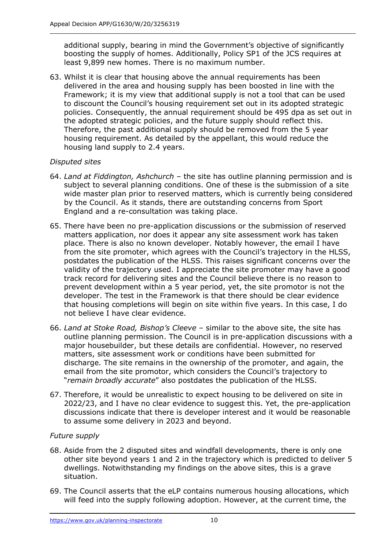additional supply, bearing in mind the Government's objective of significantly boosting the supply of homes. Additionally, Policy SP1 of the JCS requires at least 9,899 new homes. There is no maximum number.

63. Whilst it is clear that housing above the annual requirements has been delivered in the area and housing supply has been boosted in line with the Framework; it is my view that additional supply is not a tool that can be used to discount the Council's housing requirement set out in its adopted strategic policies. Consequently, the annual requirement should be 495 dpa as set out in the adopted strategic policies, and the future supply should reflect this. Therefore, the past additional supply should be removed from the 5 year housing requirement. As detailed by the appellant, this would reduce the housing land supply to 2.4 years.

## *Disputed sites*

- 64. *Land at Fiddington, Ashchurch* the site has outline planning permission and is subject to several planning conditions. One of these is the submission of a site wide master plan prior to reserved matters, which is currently being considered by the Council. As it stands, there are outstanding concerns from Sport England and a re-consultation was taking place.
- 65. There have been no pre-application discussions or the submission of reserved matters application, nor does it appear any site assessment work has taken place. There is also no known developer. Notably however, the email I have from the site promoter, which agrees with the Council's trajectory in the HLSS, postdates the publication of the HLSS. This raises significant concerns over the validity of the trajectory used. I appreciate the site promoter may have a good track record for delivering sites and the Council believe there is no reason to prevent development within a 5 year period, yet, the site promotor is not the developer. The test in the Framework is that there should be clear evidence that housing completions will begin on site within five years. In this case, I do not believe I have clear evidence.
- 66. *Land at Stoke Road, Bishop's Cleeve* similar to the above site, the site has outline planning permission. The Council is in pre-application discussions with a major housebuilder, but these details are confidential. However, no reserved matters, site assessment work or conditions have been submitted for discharge. The site remains in the ownership of the promoter, and again, the email from the site promotor, which considers the Council's trajectory to "*remain broadly accurate*" also postdates the publication of the HLSS.
- 67. Therefore, it would be unrealistic to expect housing to be delivered on site in 2022/23, and I have no clear evidence to suggest this. Yet, the pre-application discussions indicate that there is developer interest and it would be reasonable to assume some delivery in 2023 and beyond.

## *Future supply*

- 68. Aside from the 2 disputed sites and windfall developments, there is only one other site beyond years 1 and 2 in the trajectory which is predicted to deliver 5 dwellings. Notwithstanding my findings on the above sites, this is a grave situation.
- 69. The Council asserts that the eLP contains numerous housing allocations, which will feed into the supply following adoption. However, at the current time, the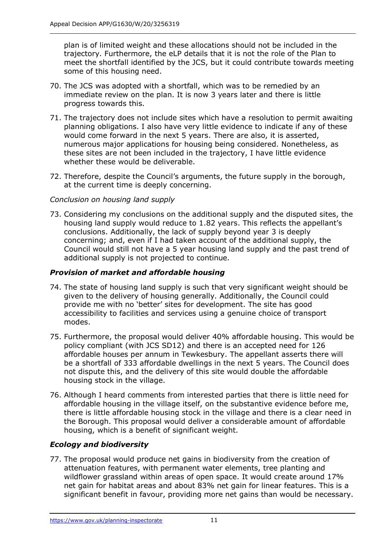plan is of limited weight and these allocations should not be included in the trajectory. Furthermore, the eLP details that it is not the role of the Plan to meet the shortfall identified by the JCS, but it could contribute towards meeting some of this housing need.

- 70. The JCS was adopted with a shortfall, which was to be remedied by an immediate review on the plan. It is now 3 years later and there is little progress towards this.
- 71. The trajectory does not include sites which have a resolution to permit awaiting planning obligations. I also have very little evidence to indicate if any of these would come forward in the next 5 years. There are also, it is asserted, numerous major applications for housing being considered. Nonetheless, as these sites are not been included in the trajectory, I have little evidence whether these would be deliverable.
- 72. Therefore, despite the Council's arguments, the future supply in the borough, at the current time is deeply concerning.

#### *Conclusion on housing land supply*

73. Considering my conclusions on the additional supply and the disputed sites, the housing land supply would reduce to 1.82 years. This reflects the appellant's conclusions. Additionally, the lack of supply beyond year 3 is deeply concerning; and, even if I had taken account of the additional supply, the Council would still not have a 5 year housing land supply and the past trend of additional supply is not projected to continue.

#### *Provision of market and affordable housing*

- 74. The state of housing land supply is such that very significant weight should be given to the delivery of housing generally. Additionally, the Council could provide me with no 'better' sites for development. The site has good accessibility to facilities and services using a genuine choice of transport modes.
- 75. Furthermore, the proposal would deliver 40% affordable housing. This would be policy compliant (with JCS SD12) and there is an accepted need for 126 affordable houses per annum in Tewkesbury. The appellant asserts there will be a shortfall of 333 affordable dwellings in the next 5 years. The Council does not dispute this, and the delivery of this site would double the affordable housing stock in the village.
- 76. Although I heard comments from interested parties that there is little need for affordable housing in the village itself, on the substantive evidence before me, there is little affordable housing stock in the village and there is a clear need in the Borough. This proposal would deliver a considerable amount of affordable housing, which is a benefit of significant weight.

#### *Ecology and biodiversity*

77. The proposal would produce net gains in biodiversity from the creation of attenuation features, with permanent water elements, tree planting and wildflower grassland within areas of open space. It would create around 17% net gain for habitat areas and about 83% net gain for linear features. This is a significant benefit in favour, providing more net gains than would be necessary.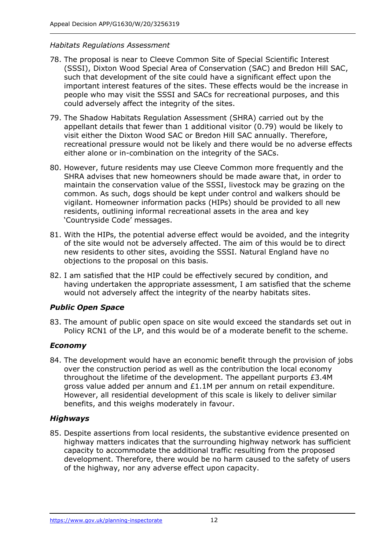#### *Habitats Regulations Assessment*

- 78. The proposal is near to Cleeve Common Site of Special Scientific Interest (SSSI), Dixton Wood Special Area of Conservation (SAC) and Bredon Hill SAC, such that development of the site could have a significant effect upon the important interest features of the sites. These effects would be the increase in people who may visit the SSSI and SACs for recreational purposes, and this could adversely affect the integrity of the sites.
- 79. The Shadow Habitats Regulation Assessment (SHRA) carried out by the appellant details that fewer than 1 additional visitor (0.79) would be likely to visit either the Dixton Wood SAC or Bredon Hill SAC annually. Therefore, recreational pressure would not be likely and there would be no adverse effects either alone or in-combination on the integrity of the SACs.
- 80. However, future residents may use Cleeve Common more frequently and the SHRA advises that new homeowners should be made aware that, in order to maintain the conservation value of the SSSI, livestock may be grazing on the common. As such, dogs should be kept under control and walkers should be vigilant. Homeowner information packs (HIPs) should be provided to all new residents, outlining informal recreational assets in the area and key 'Countryside Code' messages.
- 81. With the HIPs, the potential adverse effect would be avoided, and the integrity of the site would not be adversely affected. The aim of this would be to direct new residents to other sites, avoiding the SSSI. Natural England have no objections to the proposal on this basis.
- 82. I am satisfied that the HIP could be effectively secured by condition, and having undertaken the appropriate assessment, I am satisfied that the scheme would not adversely affect the integrity of the nearby habitats sites.

#### *Public Open Space*

83. The amount of public open space on site would exceed the standards set out in Policy RCN1 of the LP, and this would be of a moderate benefit to the scheme.

#### *Economy*

84. The development would have an economic benefit through the provision of jobs over the construction period as well as the contribution the local economy throughout the lifetime of the development. The appellant purports £3.4M gross value added per annum and £1.1M per annum on retail expenditure. However, all residential development of this scale is likely to deliver similar benefits, and this weighs moderately in favour.

#### *Highways*

85. Despite assertions from local residents, the substantive evidence presented on highway matters indicates that the surrounding highway network has sufficient capacity to accommodate the additional traffic resulting from the proposed development. Therefore, there would be no harm caused to the safety of users of the highway, nor any adverse effect upon capacity.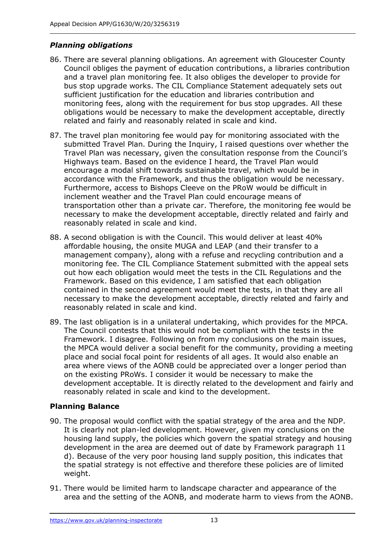## *Planning obligations*

- 86. There are several planning obligations. An agreement with Gloucester County Council obliges the payment of education contributions, a libraries contribution and a travel plan monitoring fee. It also obliges the developer to provide for bus stop upgrade works. The CIL Compliance Statement adequately sets out sufficient justification for the education and libraries contribution and monitoring fees, along with the requirement for bus stop upgrades. All these obligations would be necessary to make the development acceptable, directly related and fairly and reasonably related in scale and kind.
- 87. The travel plan monitoring fee would pay for monitoring associated with the submitted Travel Plan. During the Inquiry, I raised questions over whether the Travel Plan was necessary, given the consultation response from the Council's Highways team. Based on the evidence I heard, the Travel Plan would encourage a modal shift towards sustainable travel, which would be in accordance with the Framework, and thus the obligation would be necessary. Furthermore, access to Bishops Cleeve on the PRoW would be difficult in inclement weather and the Travel Plan could encourage means of transportation other than a private car. Therefore, the monitoring fee would be necessary to make the development acceptable, directly related and fairly and reasonably related in scale and kind.
- 88. A second obligation is with the Council. This would deliver at least 40% affordable housing, the onsite MUGA and LEAP (and their transfer to a management company), along with a refuse and recycling contribution and a monitoring fee. The CIL Compliance Statement submitted with the appeal sets out how each obligation would meet the tests in the CIL Regulations and the Framework. Based on this evidence, I am satisfied that each obligation contained in the second agreement would meet the tests, in that they are all necessary to make the development acceptable, directly related and fairly and reasonably related in scale and kind.
- 89. The last obligation is in a unilateral undertaking, which provides for the MPCA. The Council contests that this would not be compliant with the tests in the Framework. I disagree. Following on from my conclusions on the main issues, the MPCA would deliver a social benefit for the community, providing a meeting place and social focal point for residents of all ages. It would also enable an area where views of the AONB could be appreciated over a longer period than on the existing PRoWs. I consider it would be necessary to make the development acceptable. It is directly related to the development and fairly and reasonably related in scale and kind to the development.

## **Planning Balance**

- 90. The proposal would conflict with the spatial strategy of the area and the NDP. It is clearly not plan-led development. However, given my conclusions on the housing land supply, the policies which govern the spatial strategy and housing development in the area are deemed out of date by Framework paragraph 11 d). Because of the very poor housing land supply position, this indicates that the spatial strategy is not effective and therefore these policies are of limited weight.
- 91. There would be limited harm to landscape character and appearance of the area and the setting of the AONB, and moderate harm to views from the AONB.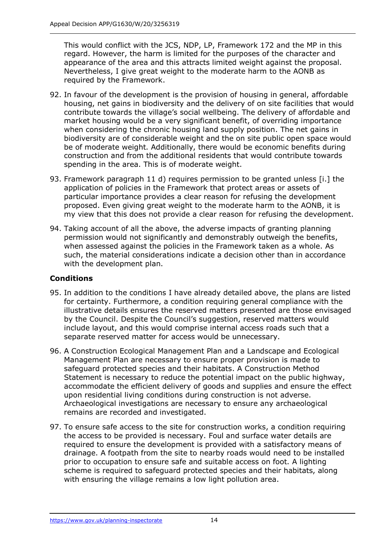This would conflict with the JCS, NDP, LP, Framework 172 and the MP in this regard. However, the harm is limited for the purposes of the character and appearance of the area and this attracts limited weight against the proposal. Nevertheless, I give great weight to the moderate harm to the AONB as required by the Framework.

- 92. In favour of the development is the provision of housing in general, affordable housing, net gains in biodiversity and the delivery of on site facilities that would contribute towards the village's social wellbeing. The delivery of affordable and market housing would be a very significant benefit, of overriding importance when considering the chronic housing land supply position. The net gains in biodiversity are of considerable weight and the on site public open space would be of moderate weight. Additionally, there would be economic benefits during construction and from the additional residents that would contribute towards spending in the area. This is of moderate weight.
- 93. Framework paragraph 11 d) requires permission to be granted unless [i.] the application of policies in the Framework that protect areas or assets of particular importance provides a clear reason for refusing the development proposed. Even giving great weight to the moderate harm to the AONB, it is my view that this does not provide a clear reason for refusing the development.
- 94. Taking account of all the above, the adverse impacts of granting planning permission would not significantly and demonstrably outweigh the benefits, when assessed against the policies in the Framework taken as a whole. As such, the material considerations indicate a decision other than in accordance with the development plan.

## **Conditions**

- 95. In addition to the conditions I have already detailed above, the plans are listed for certainty. Furthermore, a condition requiring general compliance with the illustrative details ensures the reserved matters presented are those envisaged by the Council. Despite the Council's suggestion, reserved matters would include layout, and this would comprise internal access roads such that a separate reserved matter for access would be unnecessary.
- 96. A Construction Ecological Management Plan and a Landscape and Ecological Management Plan are necessary to ensure proper provision is made to safeguard protected species and their habitats. A Construction Method Statement is necessary to reduce the potential impact on the public highway, accommodate the efficient delivery of goods and supplies and ensure the effect upon residential living conditions during construction is not adverse. Archaeological investigations are necessary to ensure any archaeological remains are recorded and investigated.
- 97. To ensure safe access to the site for construction works, a condition requiring the access to be provided is necessary. Foul and surface water details are required to ensure the development is provided with a satisfactory means of drainage. A footpath from the site to nearby roads would need to be installed prior to occupation to ensure safe and suitable access on foot. A lighting scheme is required to safeguard protected species and their habitats, along with ensuring the village remains a low light pollution area.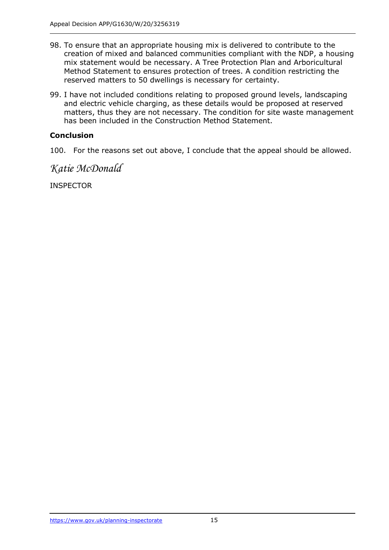- 98. To ensure that an appropriate housing mix is delivered to contribute to the creation of mixed and balanced communities compliant with the NDP, a housing mix statement would be necessary. A Tree Protection Plan and Arboricultural Method Statement to ensures protection of trees. A condition restricting the reserved matters to 50 dwellings is necessary for certainty.
- 99. I have not included conditions relating to proposed ground levels, landscaping and electric vehicle charging, as these details would be proposed at reserved matters, thus they are not necessary. The condition for site waste management has been included in the Construction Method Statement.

## **Conclusion**

100. For the reasons set out above, I conclude that the appeal should be allowed.

*Katie McDonald*

**INSPECTOR**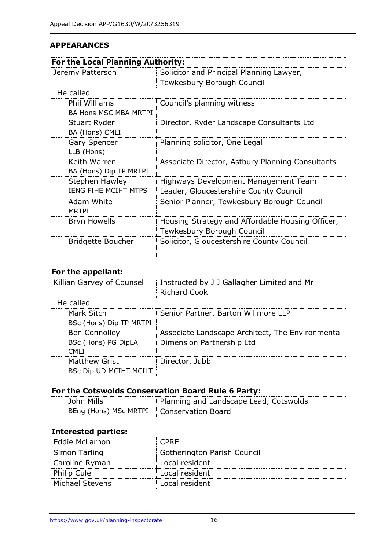## **APPEARANCES**

| For the Local Planning Authority:                  |                                                  |
|----------------------------------------------------|--------------------------------------------------|
| Jeremy Patterson                                   | Solicitor and Principal Planning Lawyer,         |
|                                                    | Tewkesbury Borough Council                       |
| He called                                          |                                                  |
| <b>Phil Williams</b>                               | Council's planning witness                       |
| BA Hons MSC MBA MRTPI                              |                                                  |
| Stuart Ryder                                       | Director, Ryder Landscape Consultants Ltd        |
| BA (Hons) CMLI                                     |                                                  |
| <b>Gary Spencer</b>                                | Planning solicitor, One Legal                    |
| LLB (Hons)                                         |                                                  |
| Keith Warren                                       | Associate Director, Astbury Planning Consultants |
| BA (Hons) Dip TP MRTPI                             |                                                  |
| <b>Stephen Hawley</b>                              | Highways Development Management Team             |
| IENG FIHE MCIHT MTPS                               | Leader, Gloucestershire County Council           |
| Adam White<br><b>MRTPI</b>                         | Senior Planner, Tewkesbury Borough Council       |
| <b>Bryn Howells</b>                                | Housing Strategy and Affordable Housing Officer, |
|                                                    | Tewkesbury Borough Council                       |
| <b>Bridgette Boucher</b>                           | Solicitor, Gloucestershire County Council        |
| For the appellant:                                 |                                                  |
| Killian Garvey of Counsel                          | Instructed by J J Gallagher Limited and Mr       |
|                                                    | <b>Richard Cook</b>                              |
| He called                                          |                                                  |
| Mark Sitch                                         | Senior Partner, Barton Willmore LLP              |
| BSc (Hons) Dip TP MRTPI                            |                                                  |
| <b>Ben Connolley</b>                               | Associate Landscape Architect, The Environmental |
| BSc (Hons) PG DipLA<br><b>CMLI</b>                 | Dimension Partnership Ltd                        |
| <b>Matthew Grist</b>                               | Director, Jubb                                   |
| <b>BSc Dip UD MCIHT MCILT</b>                      |                                                  |
|                                                    |                                                  |
| For the Cotswolds Conservation Board Rule 6 Party: |                                                  |
| John Mills                                         | Planning and Landscape Lead, Cotswolds           |
| BEng (Hons) MSc MRTPI                              | <b>Conservation Board</b>                        |
|                                                    |                                                  |
| <b>Interested parties:</b>                         |                                                  |
| <b>Eddie McLarnon</b>                              | <b>CPRE</b>                                      |
| <b>Simon Tarling</b>                               | Gotherington Parish Council                      |
| Caroline Ryman                                     | Local resident                                   |
| Philip Cule                                        | Local resident                                   |
| Michael Stevens                                    | Local resident                                   |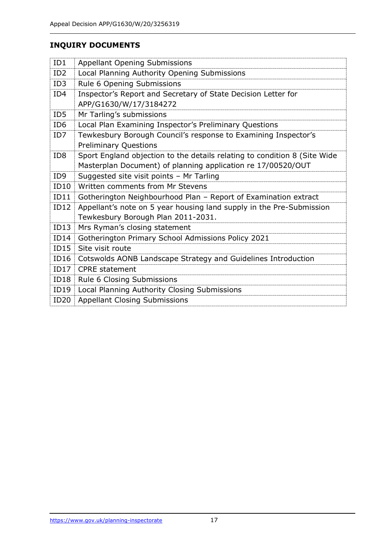## **INQUIRY DOCUMENTS**

| ID1             | <b>Appellant Opening Submissions</b>                                      |
|-----------------|---------------------------------------------------------------------------|
| ID <sub>2</sub> | Local Planning Authority Opening Submissions                              |
| ID3             | Rule 6 Opening Submissions                                                |
| ID4             | Inspector's Report and Secretary of State Decision Letter for             |
|                 | APP/G1630/W/17/3184272                                                    |
| ID <sub>5</sub> | Mr Tarling's submissions                                                  |
| ID <sub>6</sub> | Local Plan Examining Inspector's Preliminary Questions                    |
| ID7             | Tewkesbury Borough Council's response to Examining Inspector's            |
|                 | <b>Preliminary Questions</b>                                              |
| ID <sub>8</sub> | Sport England objection to the details relating to condition 8 (Site Wide |
|                 | Masterplan Document) of planning application re 17/00520/OUT              |
| ID <sub>9</sub> | Suggested site visit points - Mr Tarling                                  |
| ID10            | Written comments from Mr Stevens                                          |
| ID11            | Gotherington Neighbourhood Plan - Report of Examination extract           |
| ID12            | Appellant's note on 5 year housing land supply in the Pre-Submission      |
|                 | Tewkesbury Borough Plan 2011-2031.                                        |
| ID13            | Mrs Ryman's closing statement                                             |
| ID14            | Gotherington Primary School Admissions Policy 2021                        |
| ID15            | Site visit route                                                          |
| ID16            | Cotswolds AONB Landscape Strategy and Guidelines Introduction             |
| ID17            | <b>CPRE</b> statement                                                     |
| ID18            | Rule 6 Closing Submissions                                                |
| ID19            | Local Planning Authority Closing Submissions                              |
| ID20            | <b>Appellant Closing Submissions</b>                                      |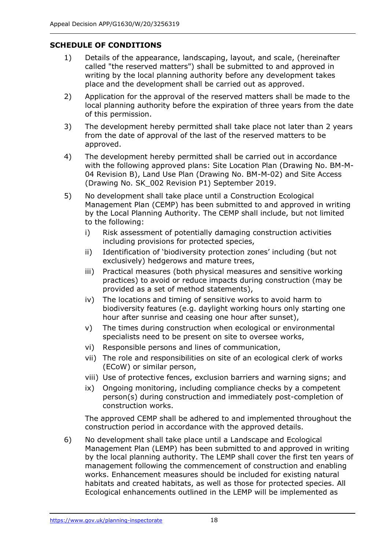## **SCHEDULE OF CONDITIONS**

- 1) Details of the appearance, landscaping, layout, and scale, (hereinafter called "the reserved matters") shall be submitted to and approved in writing by the local planning authority before any development takes place and the development shall be carried out as approved.
- 2) Application for the approval of the reserved matters shall be made to the local planning authority before the expiration of three years from the date of this permission.
- 3) The development hereby permitted shall take place not later than 2 years from the date of approval of the last of the reserved matters to be approved.
- 4) The development hereby permitted shall be carried out in accordance with the following approved plans: Site Location Plan (Drawing No. BM-M-04 Revision B), Land Use Plan (Drawing No. BM-M-02) and Site Access (Drawing No. SK\_002 Revision P1) September 2019.
- 5) No development shall take place until a Construction Ecological Management Plan (CEMP) has been submitted to and approved in writing by the Local Planning Authority. The CEMP shall include, but not limited to the following:
	- i) Risk assessment of potentially damaging construction activities including provisions for protected species,
	- ii) Identification of 'biodiversity protection zones' including (but not exclusively) hedgerows and mature trees,
	- iii) Practical measures (both physical measures and sensitive working practices) to avoid or reduce impacts during construction (may be provided as a set of method statements),
	- iv) The locations and timing of sensitive works to avoid harm to biodiversity features (e.g. daylight working hours only starting one hour after sunrise and ceasing one hour after sunset),
	- v) The times during construction when ecological or environmental specialists need to be present on site to oversee works,
	- vi) Responsible persons and lines of communication,
	- vii) The role and responsibilities on site of an ecological clerk of works (ECoW) or similar person,
	- viii) Use of protective fences, exclusion barriers and warning signs; and
	- ix) Ongoing monitoring, including compliance checks by a competent person(s) during construction and immediately post-completion of construction works.

The approved CEMP shall be adhered to and implemented throughout the construction period in accordance with the approved details.

6) No development shall take place until a Landscape and Ecological Management Plan (LEMP) has been submitted to and approved in writing by the local planning authority. The LEMP shall cover the first ten years of management following the commencement of construction and enabling works. Enhancement measures should be included for existing natural habitats and created habitats, as well as those for protected species. All Ecological enhancements outlined in the LEMP will be implemented as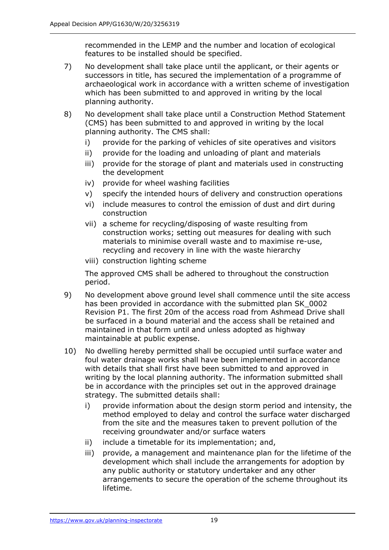recommended in the LEMP and the number and location of ecological features to be installed should be specified.

- 7) No development shall take place until the applicant, or their agents or successors in title, has secured the implementation of a programme of archaeological work in accordance with a written scheme of investigation which has been submitted to and approved in writing by the local planning authority.
- 8) No development shall take place until a Construction Method Statement (CMS) has been submitted to and approved in writing by the local planning authority. The CMS shall:
	- i) provide for the parking of vehicles of site operatives and visitors
	- ii) provide for the loading and unloading of plant and materials
	- iii) provide for the storage of plant and materials used in constructing the development
	- iv) provide for wheel washing facilities
	- v) specify the intended hours of delivery and construction operations
	- vi) include measures to control the emission of dust and dirt during construction
	- vii) a scheme for recycling/disposing of waste resulting from construction works; setting out measures for dealing with such materials to minimise overall waste and to maximise re-use, recycling and recovery in line with the waste hierarchy
	- viii) construction lighting scheme

The approved CMS shall be adhered to throughout the construction period.

- 9) No development above ground level shall commence until the site access has been provided in accordance with the submitted plan SK\_0002 Revision P1. The first 20m of the access road from Ashmead Drive shall be surfaced in a bound material and the access shall be retained and maintained in that form until and unless adopted as highway maintainable at public expense.
- 10) No dwelling hereby permitted shall be occupied until surface water and foul water drainage works shall have been implemented in accordance with details that shall first have been submitted to and approved in writing by the local planning authority. The information submitted shall be in accordance with the principles set out in the approved drainage strategy. The submitted details shall:
	- i) provide information about the design storm period and intensity, the method employed to delay and control the surface water discharged from the site and the measures taken to prevent pollution of the receiving groundwater and/or surface waters
	- ii) include a timetable for its implementation; and,
	- iii) provide, a management and maintenance plan for the lifetime of the development which shall include the arrangements for adoption by any public authority or statutory undertaker and any other arrangements to secure the operation of the scheme throughout its lifetime.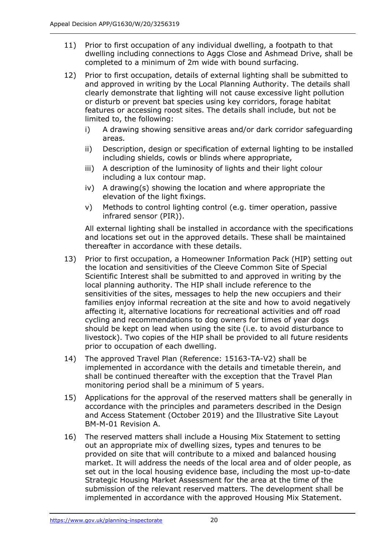- 11) Prior to first occupation of any individual dwelling, a footpath to that dwelling including connections to Aggs Close and Ashmead Drive, shall be completed to a minimum of 2m wide with bound surfacing.
- 12) Prior to first occupation, details of external lighting shall be submitted to and approved in writing by the Local Planning Authority. The details shall clearly demonstrate that lighting will not cause excessive light pollution or disturb or prevent bat species using key corridors, forage habitat features or accessing roost sites. The details shall include, but not be limited to, the following:
	- i) A drawing showing sensitive areas and/or dark corridor safeguarding areas.
	- ii) Description, design or specification of external lighting to be installed including shields, cowls or blinds where appropriate,
	- iii) A description of the luminosity of lights and their light colour including a lux contour map.
	- iv) A drawing(s) showing the location and where appropriate the elevation of the light fixings.
	- v) Methods to control lighting control (e.g. timer operation, passive infrared sensor (PIR)).

All external lighting shall be installed in accordance with the specifications and locations set out in the approved details. These shall be maintained thereafter in accordance with these details.

- 13) Prior to first occupation, a Homeowner Information Pack (HIP) setting out the location and sensitivities of the Cleeve Common Site of Special Scientific Interest shall be submitted to and approved in writing by the local planning authority. The HIP shall include reference to the sensitivities of the sites, messages to help the new occupiers and their families enjoy informal recreation at the site and how to avoid negatively affecting it, alternative locations for recreational activities and off road cycling and recommendations to dog owners for times of year dogs should be kept on lead when using the site (i.e. to avoid disturbance to livestock). Two copies of the HIP shall be provided to all future residents prior to occupation of each dwelling.
- 14) The approved Travel Plan (Reference: 15163-TA-V2) shall be implemented in accordance with the details and timetable therein, and shall be continued thereafter with the exception that the Travel Plan monitoring period shall be a minimum of 5 years.
- 15) Applications for the approval of the reserved matters shall be generally in accordance with the principles and parameters described in the Design and Access Statement (October 2019) and the Illustrative Site Layout BM-M-01 Revision A.
- 16) The reserved matters shall include a Housing Mix Statement to setting out an appropriate mix of dwelling sizes, types and tenures to be provided on site that will contribute to a mixed and balanced housing market. It will address the needs of the local area and of older people, as set out in the local housing evidence base, including the most up-to-date Strategic Housing Market Assessment for the area at the time of the submission of the relevant reserved matters. The development shall be implemented in accordance with the approved Housing Mix Statement.